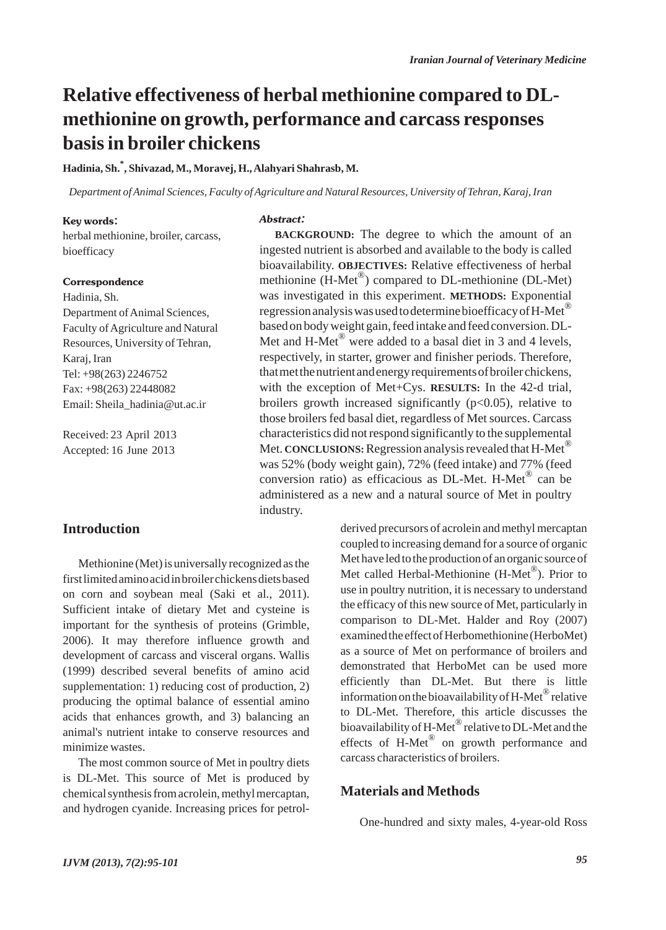## **Relative effectiveness of herbal methionine compared to DLmethionine on growth, performance and carcass responses basis in broiler chickens**

#### **Hadinia, Sh.\* , Shivazad, M., Moravej, H., Alahyari Shahrasb, M.**

*Department of Animal Sciences, Faculty of Agriculture and Natural Resources, University of Tehran, Karaj, Iran*

Abstract:

#### Key words:

herbal methionine, broiler, carcass, bioefficacy

#### Correspondence

Hadinia, Sh. Department of Animal Sciences, Faculty of Agriculture and Natural Resources, University of Tehran, Karaj, Iran Tel: +98(263) 2246752 Fax: +98(263) 22448082 Email: Sheila\_hadinia@ut.ac.ir

Received: 23 April 2013 Accepted: 16 June 2013

### **Introduction**

Methionine (Met) is universally recognized as the first limited amino acid in broiler chickens diets based on corn and soybean meal (Saki et al., 2011). Sufficient intake of dietary Met and cysteine is important for the synthesis of proteins (Grimble, 2006). It may therefore influence growth and development of carcass and visceral organs. Wallis (1999) described several benefits of amino acid supplementation: 1) reducing cost of production, 2) producing the optimal balance of essential amino acids that enhances growth, and 3) balancing an animal's nutrient intake to conserve resources and minimize wastes.

The most common source of Met in poultry diets is DL-Met. This source of Met is produced by chemical synthesis from acrolein, methyl mercaptan, and hydrogen cyanide. Increasing prices for petrol-

**BACKGROUND:** The degree to which the amount of an ingested nutrient is absorbed and available to the body is called bioavailability. **OBJECTIVES:** Relative effectiveness of herbal methionine  $(H-Met^{\circledR})$  compared to DL-methionine (DL-Met) was investigated in this experiment. **METHODS:** Exponential regression analysis was used to determine bioefficacy of H-Met<sup>®</sup> based on body weight gain, feed intake and feed conversion. DL-Met and H-Met $^{\circledR}$  were added to a basal diet in 3 and 4 levels, respectively, in starter, grower and finisher periods. Therefore, that met the nutrient and energy requirements of broiler chickens, with the exception of Met+Cys. **RESULTS:** In the 42-d trial, broilers growth increased significantly  $(p<0.05)$ , relative to those broilers fed basal diet, regardless of Met sources. Carcass characteristics did not respond significantly to the supplemental Met. **CONCLUSIONS:**Regression analysis revealed that H-Met® was 52% (body weight gain), 72% (feed intake) and 77% (feed conversion ratio) as efficacious as DL-Met. H-Met<sup>®</sup> can be administered as a new and a natural source of Met in poultry industry.

> derived precursors of acrolein and methyl mercaptan coupled to increasing demand for a source of organic Met have led to the production of an organic source of Met called Herbal-Methionine (H-Met<sup>®</sup>). Prior to use in poultry nutrition, it is necessary to understand the efficacy of this new source of Met, particularly in comparison to DL-Met. Halder and Roy (2007) examined the effect of Herbomethionine (HerboMet) as a source of Met on performance of broilers and demonstrated that HerboMet can be used more efficiently than DL-Met. But there is little information on the bioavailability of  $H$ -Met<sup>®</sup> relative to DL-Met. Therefore, this article discusses the bioavailability of H-Met<sup>®</sup> relative to DL-Met and the effects of H-Met® on growth performance and carcass characteristics of broilers.

#### **Materials and Methods**

One-hundred and sixty males, 4-year-old Ross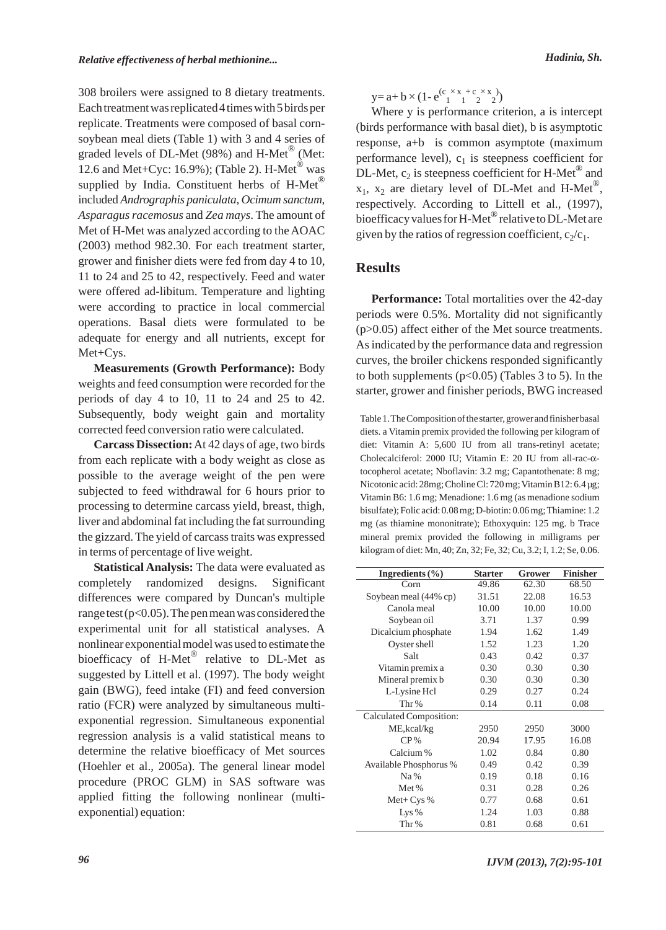308 broilers were assigned to 8 dietary treatments. Each treatment was replicated 4 times with 5 birds per replicate. Treatments were composed of basal cornsoybean meal diets (Table 1) with 3 and 4 series of graded levels of DL-Met (98%) and H-Met® (Met: 12.6 and Met+Cyc: 16.9%); (Table 2). H-Met<sup>®</sup> was supplied by India. Constituent herbs of  $H$ -Met<sup>®</sup> included *Andrographis paniculata*, *Ocimum sanctum*, *Asparagus racemosus* and *Zea mays*. The amount of Met of H-Met was analyzed according to the AOAC (2003) method 982.30. For each treatment starter, grower and finisher diets were fed from day 4 to 10, 11 to 24 and 25 to 42, respectively. Feed and water were offered ad-libitum. Temperature and lighting were according to practice in local commercial operations. Basal diets were formulated to be adequate for energy and all nutrients, except for Met+Cys.

**Measurements (Growth Performance):** Body weights and feed consumption were recorded for the periods of day 4 to 10, 11 to 24 and 25 to 42. Subsequently, body weight gain and mortality corrected feed conversion ratio were calculated.

**Carcass Dissection:**At 42 days of age, two birds from each replicate with a body weight as close as possible to the average weight of the pen were subjected to feed withdrawal for 6 hours prior to processing to determine carcass yield, breast, thigh, liver and abdominal fat including the fat surrounding the gizzard. The yield of carcass traits was expressed in terms of percentage of live weight.

**Statistical Analysis:** The data were evaluated as completely randomized designs. Significant differences were compared by Duncan's multiple range test ( $p<0.05$ ). The pen mean was considered the experimental unit for all statistical analyses. A nonlinear exponential model was used to estimate the bioefficacy of H-Met<sup>®</sup> relative to DL-Met as suggested by Littell et al. (1997). The body weight gain (BWG), feed intake (FI) and feed conversion ratio (FCR) were analyzed by simultaneous multiexponential regression. Simultaneous exponential regression analysis is a valid statistical means to determine the relative bioefficacy of Met sources (Hoehler et al., 2005a). The general linear model procedure (PROC GLM) in SAS software was applied fitting the following nonlinear (multiexponential) equation:

 $y=a+b\times(1-e^{(c x x+c x-x)x})(1-e^{(c x)x})$ 

Where y is performance criterion, a is intercept (birds performance with basal diet), b is asymptotic response, a+b is common asymptote (maximum performance level),  $c_1$  is steepness coefficient for DL-Met,  $c_2$  is steepness coefficient for H-Met<sup>®</sup> and  $x_1$ ,  $x_2$  are dietary level of DL-Met and H-Met<sup>®</sup>, respectively. According to Littell et al., (1997), bioefficacy values for H-Met<sup>®</sup> relative to DL-Met are given by the ratios of regression coefficient,  $c_2/c_1$ .

#### **Results**

**Performance:** Total mortalities over the 42-day periods were 0.5%. Mortality did not significantly (p>0.05) affect either of the Met source treatments. As indicated by the performance data and regression curves, the broiler chickens responded significantly to both supplements  $(p<0.05)$  (Tables 3 to 5). In the starter, grower and finisher periods, BWG increased

Table 1. The Composition of the starter, grower and finisher basal diets. a Vitamin premix provided the following per kilogram of diet: Vitamin A: 5,600 IU from all trans-retinyl acetate; Cholecalciferol: 2000 IU; Vitamin E: 20 IU from all-rac-αtocopherol acetate; Nboflavin: 3.2 mg; Capantothenate: 8 mg; Nicotonic acid: 28mg; Choline Cl: 720 mg; Vitamin B12: 6.4 µg; Vitamin B6: 1.6 mg; Menadione: 1.6 mg (as menadione sodium bisulfate); Folic acid: 0.08 mg; D-biotin: 0.06 mg; Thiamine: 1.2 mg (as thiamine mononitrate); Ethoxyquin: 125 mg. b Trace mineral premix provided the following in milligrams per kilogram of diet: Mn, 40; Zn, 32; Fe, 32; Cu, 3.2; I, 1.2; Se, 0.06.

| Ingredients $(\% )$     | <b>Starter</b> | Grower | <b>Finisher</b> |
|-------------------------|----------------|--------|-----------------|
| Corn                    | 49.86          | 62.30  | 68.50           |
| Soybean meal (44% cp)   | 31.51          | 22.08  | 16.53           |
| Canola meal             | 10.00          | 10.00  | 10.00           |
| Soybean oil             | 3.71           | 1.37   | 0.99            |
| Dicalcium phosphate     | 1.94           | 1.62   | 1.49            |
| Oyster shell            | 1.52           | 1.23   | 1.20            |
| Salt                    | 0.43           | 0.42   | 0.37            |
| Vitamin premix a        | 0.30           | 0.30   | 0.30            |
| Mineral premix b        | 0.30           | 0.30   | 0.30            |
| L-Lysine Hcl            | 0.29           | 0.27   | 0.24            |
| Thr%                    | 0.14           | 0.11   | 0.08            |
| Calculated Composition: |                |        |                 |
| ME, kcal/kg             | 2950           | 2950   | 3000            |
| $CP\%$                  | 20.94          | 17.95  | 16.08           |
| Calcium %               | 1.02           | 0.84   | 0.80            |
| Available Phosphorus %  | 0.49           | 0.42   | 0.39            |
| Na%                     | 0.19           | 0.18   | 0.16            |
| Met %                   | 0.31           | 0.28   | 0.26            |
| $Met+Cys\%$             | 0.77           | 0.68   | 0.61            |
| Lys $%$                 | 1.24           | 1.03   | 0.88            |
| Thr%                    | 0.81           | 0.68   | 0.61            |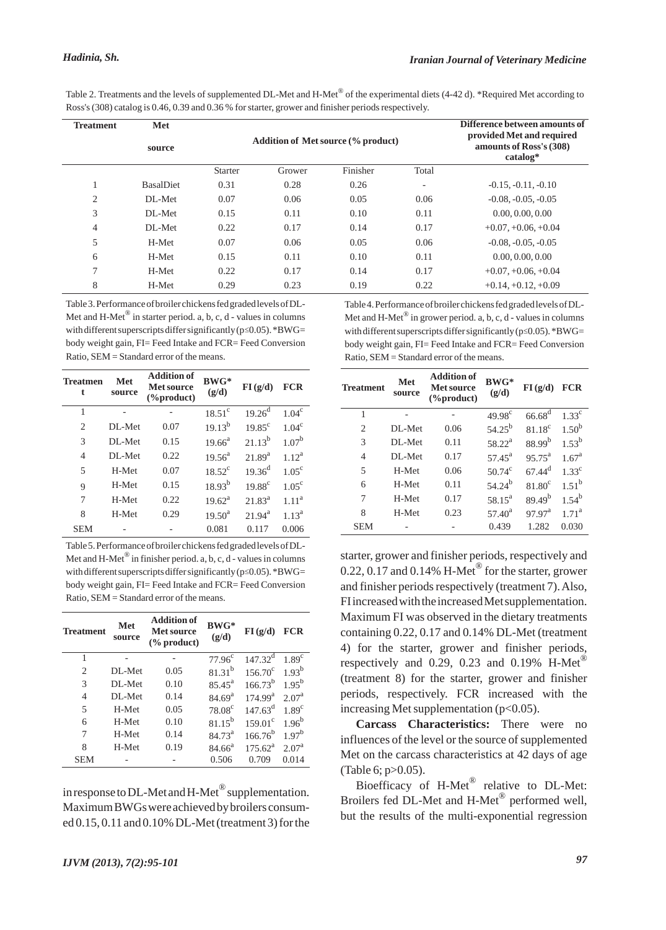Table 2. Treatments and the levels of supplemented DL-Met and H-Met® of the experimental diets (4-42 d). \*Required Met according to Ross's (308) catalog is 0.46, 0.39 and 0.36 % for starter, grower and finisher periods respectively.

| <b>Treatment</b> | Met<br>source    |                | <b>Addition of Met source (% product)</b> | Difference between amounts of<br>provided Met and required<br>amounts of Ross's (308)<br>catalog* |                          |                       |
|------------------|------------------|----------------|-------------------------------------------|---------------------------------------------------------------------------------------------------|--------------------------|-----------------------|
|                  |                  | <b>Starter</b> | Grower                                    | Finisher                                                                                          | Total                    |                       |
|                  | <b>BasalDiet</b> | 0.31           | 0.28                                      | 0.26                                                                                              | $\overline{\phantom{a}}$ | $-0.15, -0.11, -0.10$ |
| 2                | DL-Met           | 0.07           | 0.06                                      | 0.05                                                                                              | 0.06                     | $-0.08, -0.05, -0.05$ |
| 3                | DL-Met           | 0.15           | 0.11                                      | 0.10                                                                                              | 0.11                     | 0.00, 0.00, 0.00      |
| 4                | DL-Met           | 0.22           | 0.17                                      | 0.14                                                                                              | 0.17                     | $+0.07, +0.06, +0.04$ |
| 5                | H-Met            | 0.07           | 0.06                                      | 0.05                                                                                              | 0.06                     | $-0.08, -0.05, -0.05$ |
| 6                | H-Met            | 0.15           | 0.11                                      | 0.10                                                                                              | 0.11                     | 0.00, 0.00, 0.00      |
| 7                | H-Met            | 0.22           | 0.17                                      | 0.14                                                                                              | 0.17                     | $+0.07, +0.06, +0.04$ |
| 8                | H-Met            | 0.29           | 0.23                                      | 0.19                                                                                              | 0.22                     | $+0.14, +0.12, +0.09$ |

Table 3. Performance of broiler chickens fed graded levels of DL-Met and H-Met $^{\circledR}$  in starter period. a, b, c, d - values in columns with different superscripts differ significantly ( $p \le 0.05$ ). \*BWG= body weight gain, FI= Feed Intake and FCR= Feed Conversion Ratio, SEM = Standard error of the means.

| <b>Treatmen</b><br>t | Met<br>source | <b>Addition of</b><br>$BWG*$<br>Met source<br>(g/d)<br>$(\%$ product) |                 | FI(g/d)         | FCR               |
|----------------------|---------------|-----------------------------------------------------------------------|-----------------|-----------------|-------------------|
| 1                    |               |                                                                       | $18.51^\circ$   | $19.26^{\rm d}$ | $1.04^\mathrm{c}$ |
| $\overline{c}$       | DL-Met        | 0.07                                                                  | $19.13^{b}$     | $19.85^{\circ}$ | $1.04^\mathrm{c}$ |
| 3                    | DL-Met        | 0.15                                                                  | $19.66^a$       | $21.13^{b}$     | $1.07^{b}$        |
| 4                    | DL-Met        | 0.22                                                                  | $19.56^{\circ}$ | $21.89^{a}$     | $1.12^a$          |
| 5                    | H-Met         | 0.07                                                                  | $18.52^{\circ}$ | $19.36^{d}$     | $1.05^{\circ}$    |
| $\mathbf Q$          | H-Met         | 0.15                                                                  | $18.93^{b}$     | $19.88^{\circ}$ | $1.05^{\circ}$    |
| 7                    | H-Met         | 0.22                                                                  | $19.62^a$       | $21.83^a$       | 1.11 <sup>a</sup> |
| 8                    | H-Met         | 0.29                                                                  | $19.50^{\rm a}$ | $21.94^a$       | $1.13^{a}$        |
| <b>SEM</b>           |               |                                                                       | 0.081           | 0.117           | 0.006             |

Table 5. Performance of broiler chickens fed graded levels of DL-Met and H-Met<sup>®</sup> in finisher period. a, b, c, d - values in columns with different superscripts differ significantly ( $p \le 0.05$ ). \*BWG= body weight gain, FI= Feed Intake and FCR= Feed Conversion Ratio, SEM = Standard error of the means.

| <b>Treatment</b> | Met<br>source | <b>Addition of</b><br>BWG*<br><b>Met source</b><br>$\frac{6}{2}$ product) |                    | FI(g/d)             | <b>FCR</b>        |
|------------------|---------------|---------------------------------------------------------------------------|--------------------|---------------------|-------------------|
| 1                |               |                                                                           | $77.96^{\circ}$    | $147.32^d$          | 1.89 <sup>c</sup> |
| 2                | DL-Met        | 0.05                                                                      | $81.31^{b}$        | $156.70^{\circ}$    | $1.93^{b}$        |
| 3                | DL-Met        | 0.10                                                                      | $85.45^{\rm a}$    | $166.73^{b}$        | $1.95^{b}$        |
| 4                | DL-Met        | 0.14                                                                      | 84.69 <sup>a</sup> | 174.99 <sup>a</sup> | 2.07 <sup>a</sup> |
| 5                | H-Met         | 0.05                                                                      | 78.08 <sup>c</sup> | $147.63^d$          | 1.89 <sup>c</sup> |
| 6                | H-Met         | 0.10                                                                      | $81.15^{b}$        | $159.01^{\circ}$    | $1.96^{b}$        |
| 7                | H-Met         | 0.14                                                                      | 84.73 <sup>a</sup> | $166.76^{b}$        | $1.97^{b}$        |
| 8                | H-Met         | 0.19                                                                      | $84.66^a$          | $175.62^a$          | 2.07 <sup>a</sup> |
| <b>SEM</b>       |               |                                                                           | 0.506              | 0.709               | 0.014             |

in response to DL-Met and H-Met  $^\circledR$  supplementation. Maximum BWGs were achieved by broilers consumed 0.15, 0.11 and 0.10% DL-Met (treatment 3) for the Table 4. Performance of broiler chickens fed graded levels of DL-Met and H-Met<sup>®</sup> in grower period. a, b, c, d - values in columns with different superscripts differ significantly ( $p \le 0.05$ ). \*BWG= body weight gain, FI= Feed Intake and FCR= Feed Conversion Ratio, SEM = Standard error of the means.

| <b>Treatment</b>   | <b>Addition of</b><br>Met<br><b>Met source</b><br>source<br>$(\%$ product) |      | BWG*<br>(g/d)      | FI(g/d)              | FCR               |  |
|--------------------|----------------------------------------------------------------------------|------|--------------------|----------------------|-------------------|--|
| 1                  |                                                                            |      | $49.98^{c}$        | $66.68^{d}$          | $1.33^c$          |  |
| $\mathfrak{D}_{1}$ | DL-Met                                                                     | 0.06 | $54.25^{b}$        | $81.18^{\circ}$      | $1.50^{b}$        |  |
| 3                  | DL-Met                                                                     | 0.11 | 58.22 <sup>a</sup> | $88.99^{b}$          | $1.53^{b}$        |  |
| 4                  | DL-Met                                                                     | 0.17 | 57.45 $^{a}$       | $95.75^{\rm a}$      | $1.67^{\rm a}$    |  |
| 5                  | H-Met                                                                      | 0.06 | 50.74 $^{\rm c}$   | $67.44$ <sup>d</sup> | 1.33 <sup>c</sup> |  |
| 6                  | H-Met                                                                      | 0.11 | $54.24^{b}$        | $81.80^\circ$        | $1.51^{b}$        |  |
| 7                  | H-Met                                                                      | 0.17 | $58.15^a$          | $89.49^{b}$          | $1.54^{b}$        |  |
| 8                  | H-Met                                                                      | 0.23 | $57.40^a$          | $97.97^{\text{a}}$   | $1.71^{\rm a}$    |  |
| <b>SEM</b>         |                                                                            |      | 0.439              | 1.282                | 0.030             |  |

starter, grower and finisher periods, respectively and 0.22, 0.17 and 0.14% H-Met<sup>®</sup> for the starter, grower and finisher periods respectively (treatment 7). Also, FI increased with the increased Met supplementation. Maximum FI was observed in the dietary treatments containing 0.22, 0.17 and 0.14% DL-Met (treatment 4) for the starter, grower and finisher periods, respectively and 0.29, 0.23 and 0.19% H-Met<sup>®</sup> (treatment 8) for the starter, grower and finisher periods, respectively. FCR increased with the increasing Met supplementation (p<0.05).

**Carcass Characteristics:** There were no influences of the level or the source of supplemented Met on the carcass characteristics at 42 days of age (Table 6; p>0.05).

Bioefficacy of H-Met<sup>®</sup> relative to DL-Met: Broilers fed DL-Met and H-Met<sup>®</sup> performed well, but the results of the multi-exponential regression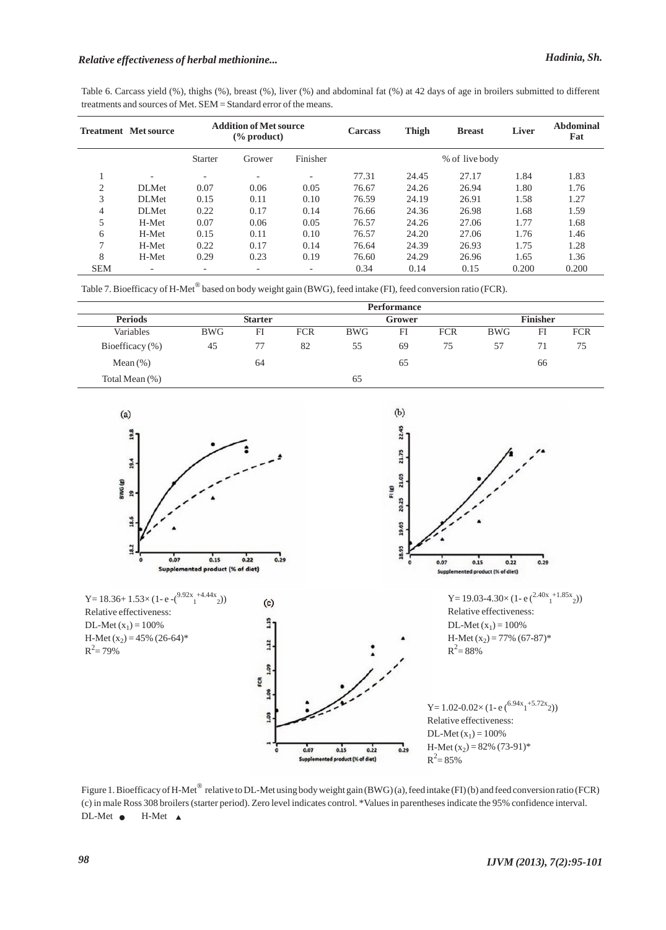## *Relative effectiveness of herbal methionine... Hadinia, Sh.*

Table 6. Carcass yield (%), thighs (%), breast (%), liver (%) and abdominal fat (%) at 42 days of age in broilers submitted to different treatments and sources of Met. SEM = Standard error of the means.

|               | <b>Treatment</b> Met source | <b>Addition of Met source</b><br>$\frac{6}{2}$ product) |        | <b>Carcass</b>           | <b>Thigh</b> | <b>Breast</b> | Liver          | Abdominal<br>Fat |       |
|---------------|-----------------------------|---------------------------------------------------------|--------|--------------------------|--------------|---------------|----------------|------------------|-------|
|               |                             | <b>Starter</b>                                          | Grower | Finisher                 |              |               | % of live body |                  |       |
|               | $\overline{\phantom{0}}$    | $\overline{\phantom{0}}$                                |        | $\overline{\phantom{0}}$ | 77.31        | 24.45         | 27.17          | 1.84             | 1.83  |
| ◠             | DLMet                       | 0.07                                                    | 0.06   | 0.05                     | 76.67        | 24.26         | 26.94          | 1.80             | 1.76  |
| 3             | DLMet                       | 0.15                                                    | 0.11   | 0.10                     | 76.59        | 24.19         | 26.91          | 1.58             | 1.27  |
| 4             | DLMet                       | 0.22                                                    | 0.17   | 0.14                     | 76.66        | 24.36         | 26.98          | 1.68             | 1.59  |
| 5             | H-Met                       | 0.07                                                    | 0.06   | 0.05                     | 76.57        | 24.26         | 27.06          | 1.77             | 1.68  |
| 6             | H-Met                       | 0.15                                                    | 0.11   | 0.10                     | 76.57        | 24.20         | 27.06          | 1.76             | 1.46  |
| $\mathcal{L}$ | H-Met                       | 0.22                                                    | 0.17   | 0.14                     | 76.64        | 24.39         | 26.93          | 1.75             | 1.28  |
| 8             | H-Met                       | 0.29                                                    | 0.23   | 0.19                     | 76.60        | 24.29         | 26.96          | 1.65             | 1.36  |
| <b>SEM</b>    | -                           | -                                                       |        | -                        | 0.34         | 0.14          | 0.15           | 0.200            | 0.200 |

Table 7. Bioefficacy of H-Met® based on body weight gain (BWG), feed intake (FI), feed conversion ratio (FCR).

|                     |                |    |            |        | <b>Performance</b> |            |            |                 |            |  |
|---------------------|----------------|----|------------|--------|--------------------|------------|------------|-----------------|------------|--|
| <b>Periods</b>      | <b>Starter</b> |    |            | Grower |                    |            |            | <b>Finisher</b> |            |  |
| Variables           | <b>BWG</b>     | FI | <b>FCR</b> | BWG    | FI                 | <b>FCR</b> | <b>BWG</b> | FI              | <b>FCR</b> |  |
| Bioefficacy $(\% )$ | 45             | 77 | 82         | 55     | 69                 | 75         | 57         | 71              | 75         |  |
| Mean $(\%)$         |                | 64 |            |        | 65                 |            |            | 66              |            |  |
| Total Mean (%)      |                |    |            | 65     |                    |            |            |                 |            |  |



Figure 1. Bioefficacy of H-Met<sup>®</sup> relative to DL-Met using body weight gain (BWG) (a), feed intake (FI) (b) and feed conversion ratio (FCR) (c) in male Ross 308 broilers (starter period). Zero level indicates control. \*Values in parentheses indicate the 95% confidence interval.  $DL-Met$   $\bullet$  $H-Met \triangle$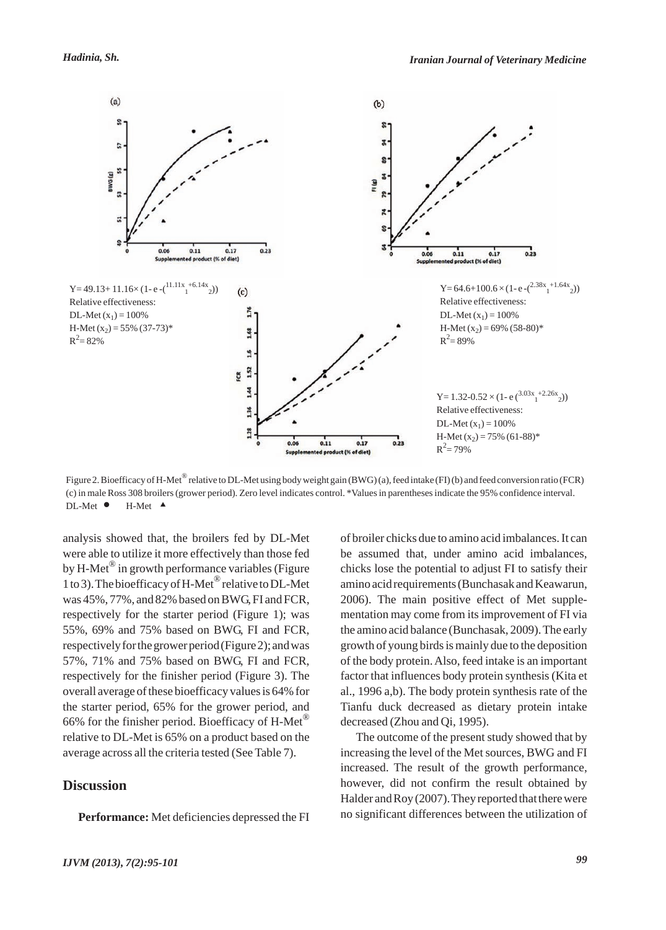

Figure 2. Bioefficacy of H-Met<sup>®</sup> relative to DL-Met using body weight gain (BWG) (a), feed intake (FI) (b) and feed conversion ratio (FCR) (c) in male Ross 308 broilers (grower period). Zero level indicates control. \*Values in parentheses indicate the 95% confidence interval. DL-Met  $\bullet$  H-Met  $\blacktriangle$ 

analysis showed that, the broilers fed by DL-Met were able to utilize it more effectively than those fed by H-Met<sup>®</sup> in growth performance variables (Figure 1 to 3). The bioefficacy of H-Met<sup>®</sup> relative to DL-Met was 45%, 77%, and 82% based on BWG, FI and FCR, respectively for the starter period (Figure 1); was 55%, 69% and 75% based on BWG, FI and FCR, respectively for the grower period (Figure 2); and was 57%, 71% and 75% based on BWG, FI and FCR, respectively for the finisher period (Figure 3). The overall average of these bioefficacy values is 64% for the starter period, 65% for the grower period, and 66% for the finisher period. Bioefficacy of H-Met® relative to DL-Met is 65% on a product based on the average across all the criteria tested (See Table 7).

### **Discussion**

**Performance:** Met deficiencies depressed the FI

of broiler chicks due to amino acid imbalances. It can be assumed that, under amino acid imbalances, chicks lose the potential to adjust FI to satisfy their amino acid requirements (Bunchasak and Keawarun, 2006). The main positive effect of Met supplementation may come from its improvement of FI via the amino acid balance (Bunchasak, 2009). The early growth of young birds is mainly due to the deposition of the body protein. Also, feed intake is an important factor that influences body protein synthesis (Kita et al., 1996 a,b). The body protein synthesis rate of the Tianfu duck decreased as dietary protein intake decreased (Zhou and Qi, 1995).

The outcome of the present study showed that by increasing the level of the Met sources, BWG and FI increased. The result of the growth performance, however, did not confirm the result obtained by Halder and Roy (2007). They reported that there were no significant differences between the utilization of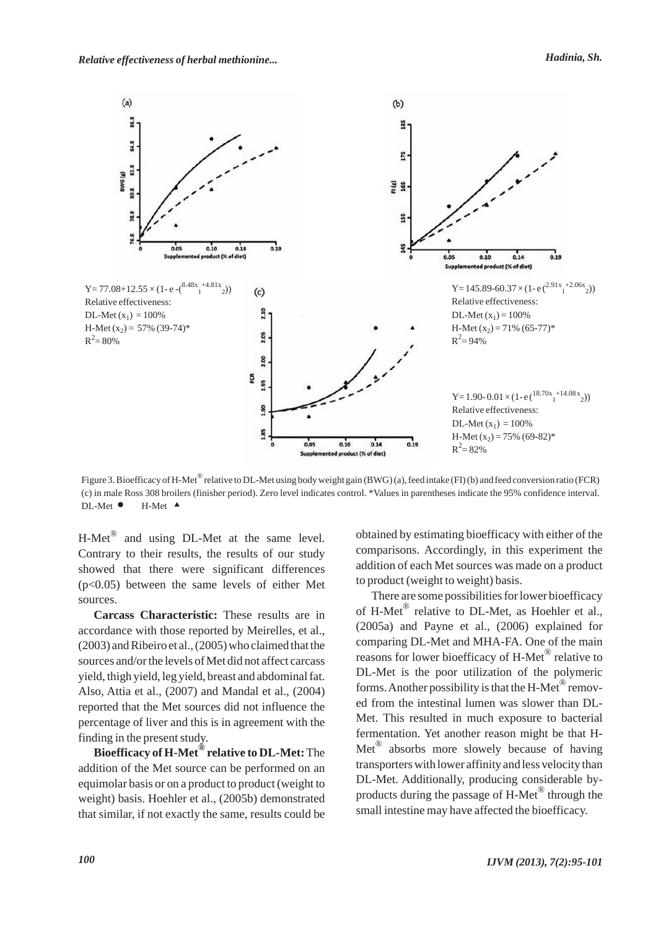

Figure 3. Bioefficacy of H-Met<sup>®</sup> relative to DL-Met using body weight gain (BWG) (a), feed intake (FI) (b) and feed conversion ratio (FCR) (c) in male Ross 308 broilers (finisher period). Zero level indicates control. \*Values in parentheses indicate the 95% confidence interval.  $DL-Met$   $\bullet$  $H-Met$ <sup> $\triangle$ </sup>

 $H-Met^{\circledR}$  and using DL-Met at the same level. Contrary to their results, the results of our study showed that there were significant differences (p<0.05) between the same levels of either Met sources.

**Carcass Characteristic:** These results are in accordance with those reported by Meirelles, et al., (2003) and Ribeiro et al., (2005) who claimed that the sources and/or the levels of Met did not affect carcass yield, thigh yield, leg yield, breast and abdominal fat. Also, Attia et al., (2007) and Mandal et al., (2004) reported that the Met sources did not influence the percentage of liver and this is in agreement with the finding in the present study.

**Bioefficacy of H-Met® relative to DL-Met:**The addition of the Met source can be performed on an equimolar basis or on a product to product (weight to weight) basis. Hoehler et al., (2005b) demonstrated that similar, if not exactly the same, results could be obtained by estimating bioefficacy with either of the comparisons. Accordingly, in this experiment the addition of each Met sources was made on a product to product (weight to weight) basis.

There are some possibilities for lower bioefficacy of H-Met<sup>®</sup> relative to DL-Met, as Hoehler et al., (2005a) and Payne et al., (2006) explained for comparing DL-Met and MHA-FA. One of the main reasons for lower bioefficacy of H-Met® relative to DL-Met is the poor utilization of the polymeric forms. Another possibility is that the H-Met<sup>®</sup> removed from the intestinal lumen was slower than DL-Met. This resulted in much exposure to bacterial fermentation. Yet another reason might be that H- $Met^{\circledR}$  absorbs more slowely because of having transporters with lower affinity and less velocity than DL-Met. Additionally, producing considerable byproducts during the passage of H-Met® through the small intestine may have affected the bioefficacy.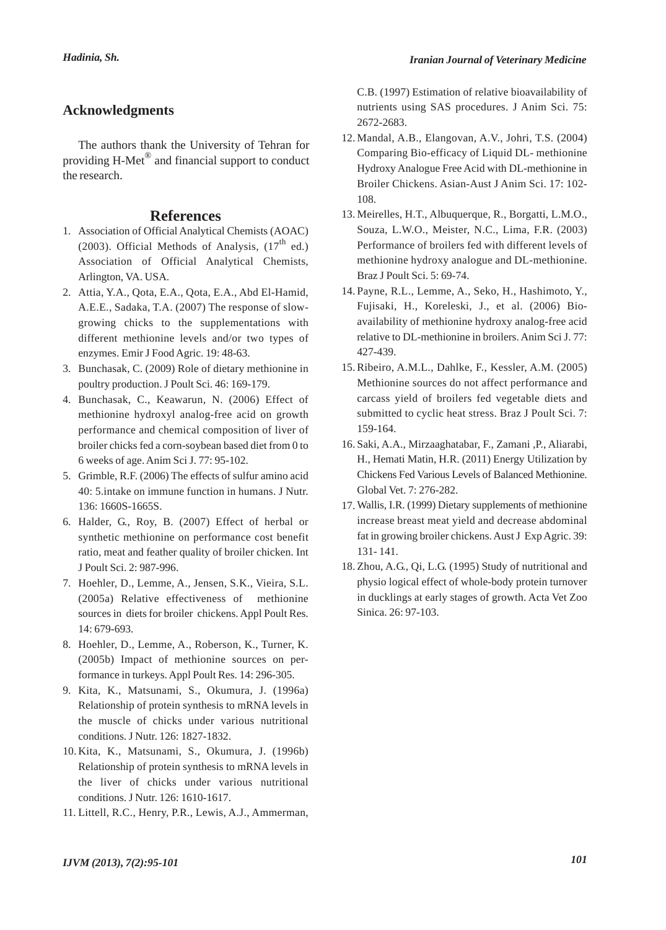### **Acknowledgments**

The authors thank the University of Tehran for providing H-Met® and financial support to conduct the research.

#### **References**

- Association of Official Analytical Chemists (AOAC) 1. (2003). Official Methods of Analysis,  $(17<sup>th</sup>$  ed.) Association of Official Analytical Chemists, Arlington, VA. USA.
- Attia, Y.A., Qota, E.A., Qota, E.A., Abd El-Hamid, 2. A.E.E., Sadaka, T.A. (2007) The response of slowgrowing chicks to the supplementations with different methionine levels and/or two types of enzymes. Emir J Food Agric. 19: 48-63.
- Bunchasak, C. (2009) Role of dietary methionine in 3. poultry production. J Poult Sci. 46: 169-179.
- 4. Bunchasak, C., Keawarun, N. (2006) Effect of methionine hydroxyl analog-free acid on growth performance and chemical composition of liver of broiler chicks fed a corn-soybean based diet from 0 to 6 weeks of age. Anim Sci J. 77: 95-102.
- 5. Grimble, R.F. (2006) The effects of sulfur amino acid 40: 5.intake on immune function in humans. J Nutr. 136: 1660S-1665S.
- 6. Halder, G., Roy, B. (2007) Effect of herbal or synthetic methionine on performance cost benefit ratio, meat and feather quality of broiler chicken. Int J Poult Sci. 2: 987-996.
- 7. Hoehler, D., Lemme, A., Jensen, S.K., Vieira, S.L. (2005a) Relative effectiveness of methionine sources in diets for broiler chickens. Appl Poult Res. 14: 679-693.
- 8. Hoehler, D., Lemme, A., Roberson, K., Turner, K. (2005b) Impact of methionine sources on performance in turkeys. Appl Poult Res. 14: 296-305.
- Kita, K., Matsunami, S., Okumura, J. (1996a) 9. Relationship of protein synthesis to mRNA levels in the muscle of chicks under various nutritional conditions. J Nutr. 126: 1827-1832.
- 10. Kita, K., Matsunami, S., Okumura, J. (1996b) Relationship of protein synthesis to mRNA levels in the liver of chicks under various nutritional conditions. J Nutr. 126: 1610-1617.
- 11. Littell, R.C., Henry, P.R., Lewis, A.J., Ammerman,

C.B. (1997) Estimation of relative bioavailability of nutrients using SAS procedures. J Anim Sci. 75: 2672-2683.

- 12. Mandal, A.B., Elangovan, A.V., Johri, T.S. (2004) Comparing Bio-efficacy of Liquid DL- methionine Hydroxy Analogue Free Acid with DL-methionine in Broiler Chickens. Asian-Aust J Anim Sci. 17: 102- 108.
- Meirelles, H.T., Albuquerque, R., Borgatti, L.M.O., 13. Souza, L.W.O., Meister, N.C., Lima, F.R. (2003) Performance of broilers fed with different levels of methionine hydroxy analogue and DL-methionine. Braz J Poult Sci. 5: 69-74.
- 14. Payne, R.L., Lemme, A., Seko, H., Hashimoto, Y., Fujisaki, H., Koreleski, J., et al. (2006) Bioavailability of methionine hydroxy analog-free acid relative to DL-methionine in broilers. Anim Sci J. 77: 427-439.
- 15. Ribeiro, A.M.L., Dahlke, F., Kessler, A.M. (2005) Methionine sources do not affect performance and carcass yield of broilers fed vegetable diets and submitted to cyclic heat stress. Braz J Poult Sci. 7: 159-164.
- 16. Saki, A.A., Mirzaaghatabar, F., Zamani ,P., Aliarabi, H., Hemati Matin, H.R. (2011) Energy Utilization by Chickens Fed Various Levels of Balanced Methionine. Global Vet. 7: 276-282.
- 17. Wallis, I.R. (1999) Dietary supplements of methionine increase breast meat yield and decrease abdominal fat in growing broiler chickens. Aust J Exp Agric. 39: 131- 141.
- 18. Zhou, A.G., Qi, L.G. (1995) Study of nutritional and physio logical effect of whole-body protein turnover in ducklings at early stages of growth. Acta Vet Zoo Sinica. 26: 97-103.